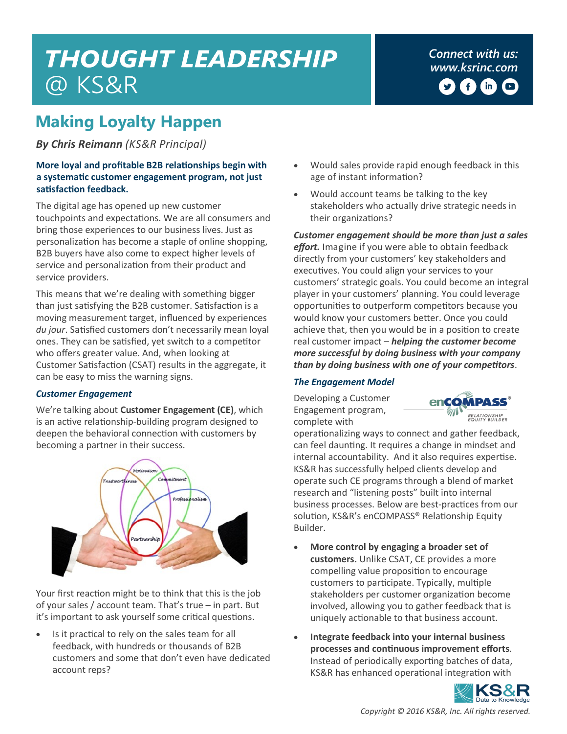# **THOUGHT LEADERSHIP** @ KS&R

*Connect with us: [www.ksrinc.com](http://www.ksrinc.com/)* G  $(m)$  $\Box$ 

## **Making Loyalty Happen**

*By Chris Reimann (KS&R Principal)* 

#### **More loyal and profitable B2B relationships begin with a systematic customer engagement program, not just satisfaction feedback.**

The digital age has opened up new customer touchpoints and expectations. We are all consumers and bring those experiences to our business lives. Just as personalization has become a staple of online shopping, B2B buyers have also come to expect higher levels of service and personalization from their product and service providers.

This means that we're dealing with something bigger than just satisfying the B2B customer. Satisfaction is a moving measurement target, influenced by experiences *du jour*. Satisfied customers don't necessarily mean loyal ones. They can be satisfied, yet switch to a competitor who offers greater value. And, when looking at Customer Satisfaction (CSAT) results in the aggregate, it can be easy to miss the warning signs.

#### *Customer Engagement*

We're talking about **Customer Engagement (CE)**, which is an active relationship-building program designed to deepen the behavioral connection with customers by becoming a partner in their success.



Your first reaction might be to think that this is the job of your sales / account team. That's true – in part. But it's important to ask yourself some critical questions.

 Is it practical to rely on the sales team for all feedback, with hundreds or thousands of B2B customers and some that don't even have dedicated account reps?

- Would sales provide rapid enough feedback in this age of instant information?
- Would account teams be talking to the key stakeholders who actually drive strategic needs in their organizations?

*Customer engagement should be more than just a sales effort.* Imagine if you were able to obtain feedback directly from your customers' key stakeholders and executives. You could align your services to your customers' strategic goals. You could become an integral player in your customers' planning. You could leverage opportunities to outperform competitors because you would know your customers better. Once you could achieve that, then you would be in a position to create real customer impact – *helping the customer become more successful by doing business with your company than by doing business with one of your competitors*.

#### *The Engagement Model*

Developing a Customer Engagement program, complete with



operationalizing ways to connect and gather feedback, can feel daunting. It requires a change in mindset and internal accountability. And it also requires expertise. KS&R has successfully helped clients develop and operate such CE programs through a blend of market research and "listening posts" built into internal business processes. Below are best-practices from our solution, KS&R's enCOMPASS® Relationship Equity Builder.

- **More control by engaging a broader set of customers.** Unlike CSAT, CE provides a more compelling value proposition to encourage customers to participate. Typically, multiple stakeholders per customer organization become involved, allowing you to gather feedback that is uniquely actionable to that business account.
- **Integrate feedback into your internal business processes and continuous improvement efforts**. Instead of periodically exporting batches of data, KS&R has enhanced operational integration with